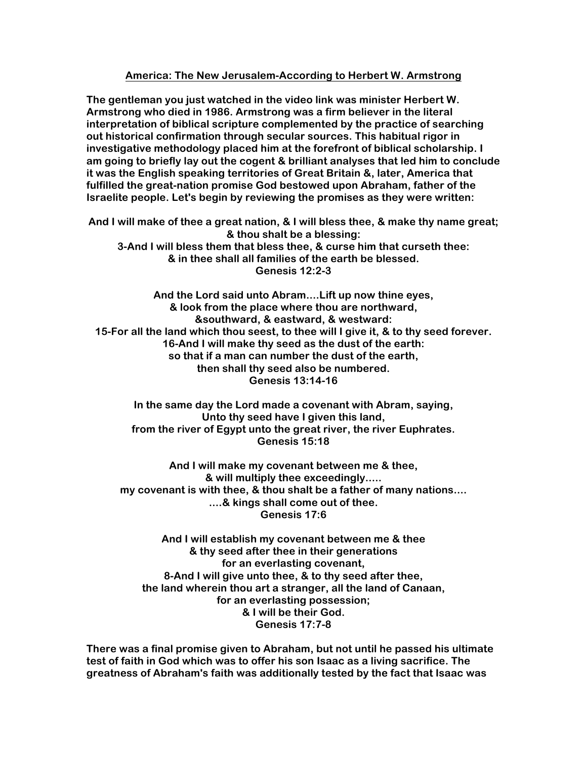## **America: The New Jerusalem-According to Herbert W. Armstrong**

**The gentleman you just watched in the video link was minister Herbert W. Armstrong who died in 1986. Armstrong was a firm believer in the literal interpretation of biblical scripture complemented by the practice of searching out historical confirmation through secular sources. This habitual rigor in investigative methodology placed him at the forefront of biblical scholarship. I am going to briefly lay out the cogent & brilliant analyses that led him to conclude it was the English speaking territories of Great Britain &, later, America that fulfilled the great-nation promise God bestowed upon Abraham, father of the Israelite people. Let's begin by reviewing the promises as they were written:**

**And I will make of thee a great nation, & I will bless thee, & make thy name great; & thou shalt be a blessing: 3-And I will bless them that bless thee, & curse him that curseth thee: & in thee shall all families of the earth be blessed. Genesis 12:2-3**

**And the Lord said unto Abram....Lift up now thine eyes, & look from the place where thou are northward, &southward, & eastward, & westward: 15-For all the land which thou seest, to thee will I give it, & to thy seed forever. 16-And I will make thy seed as the dust of the earth: so that if a man can number the dust of the earth, then shall thy seed also be numbered. Genesis 13:14-16** 

**In the same day the Lord made a covenant with Abram, saying, Unto thy seed have I given this land, from the river of Egypt unto the great river, the river Euphrates. Genesis 15:18** 

**And I will make my covenant between me & thee, & will multiply thee exceedingly..... my covenant is with thee, & thou shalt be a father of many nations.... ....& kings shall come out of thee. Genesis 17:6**

**And I will establish my covenant between me & thee & thy seed after thee in their generations for an everlasting covenant, 8-And I will give unto thee, & to thy seed after thee, the land wherein thou art a stranger, all the land of Canaan, for an everlasting possession; & I will be their God. Genesis 17:7-8** 

**There was a final promise given to Abraham, but not until he passed his ultimate test of faith in God which was to offer his son Isaac as a living sacrifice. The greatness of Abraham's faith was additionally tested by the fact that Isaac was**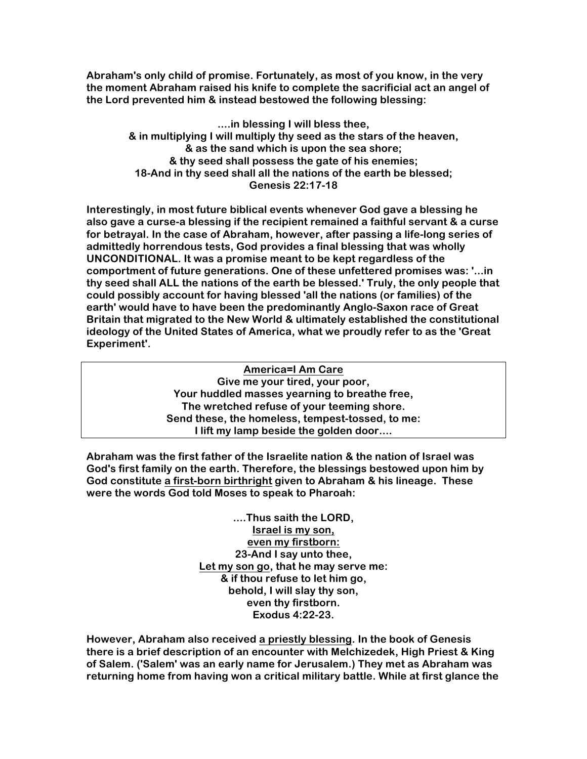**Abraham's only child of promise. Fortunately, as most of you know, in the very the moment Abraham raised his knife to complete the sacrificial act an angel of the Lord prevented him & instead bestowed the following blessing:**

> **....in blessing I will bless thee, & in multiplying I will multiply thy seed as the stars of the heaven, & as the sand which is upon the sea shore; & thy seed shall possess the gate of his enemies; 18-And in thy seed shall all the nations of the earth be blessed; Genesis 22:17-18**

**Interestingly, in most future biblical events whenever God gave a blessing he also gave a curse-a blessing if the recipient remained a faithful servant & a curse for betrayal. In the case of Abraham, however, after passing a life-long series of admittedly horrendous tests, God provides a final blessing that was wholly UNCONDITIONAL. It was a promise meant to be kept regardless of the comportment of future generations. One of these unfettered promises was: '...in thy seed shall ALL the nations of the earth be blessed.' Truly, the only people that could possibly account for having blessed 'all the nations (or families) of the earth' would have to have been the predominantly Anglo-Saxon race of Great Britain that migrated to the New World & ultimately established the constitutional ideology of the United States of America, what we proudly refer to as the 'Great Experiment'.**

> **America=I Am Care Give me your tired, your poor, Your huddled masses yearning to breathe free, The wretched refuse of your teeming shore. Send these, the homeless, tempest-tossed, to me: I lift my lamp beside the golden door....**

**Abraham was the first father of the Israelite nation & the nation of Israel was God's first family on the earth. Therefore, the blessings bestowed upon him by God constitute a first-born birthright given to Abraham & his lineage. These were the words God told Moses to speak to Pharoah:**

> **....Thus saith the LORD, Israel is my son, even my firstborn: 23-And I say unto thee, Let my son go, that he may serve me: & if thou refuse to let him go, behold, I will slay thy son, even thy firstborn. Exodus 4:22-23.**

**However, Abraham also received a priestly blessing. In the book of Genesis there is a brief description of an encounter with Melchizedek, High Priest & King of Salem. ('Salem' was an early name for Jerusalem.) They met as Abraham was returning home from having won a critical military battle. While at first glance the**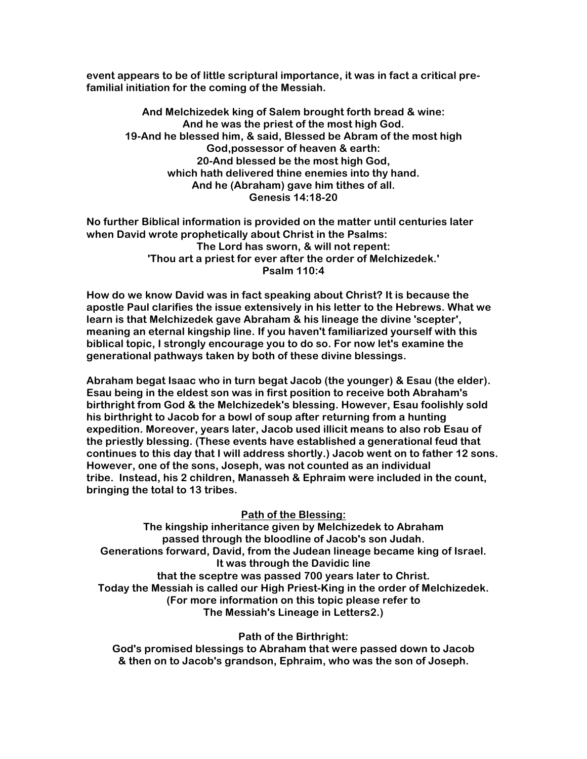**event appears to be of little scriptural importance, it was in fact a critical prefamilial initiation for the coming of the Messiah.** 

**And Melchizedek king of Salem brought forth bread & wine: And he was the priest of the most high God. 19-And he blessed him, & said, Blessed be Abram of the most high God,possessor of heaven & earth: 20-And blessed be the most high God, which hath delivered thine enemies into thy hand. And he (Abraham) gave him tithes of all. Genesis 14:18-20** 

**No further Biblical information is provided on the matter until centuries later when David wrote prophetically about Christ in the Psalms: The Lord has sworn, & will not repent: 'Thou art a priest for ever after the order of Melchizedek.' Psalm 110:4**

**How do we know David was in fact speaking about Christ? It is because the apostle Paul clarifies the issue extensively in his letter to the Hebrews. What we learn is that Melchizedek gave Abraham & his lineage the divine 'scepter', meaning an eternal kingship line. If you haven't familiarized yourself with this biblical topic, I strongly encourage you to do so. For now let's examine the generational pathways taken by both of these divine blessings.** 

**Abraham begat Isaac who in turn begat Jacob (the younger) & Esau (the elder). Esau being in the eldest son was in first position to receive both Abraham's birthright from God & the Melchizedek's blessing. However, Esau foolishly sold his birthright to Jacob for a bowl of soup after returning from a hunting expedition. Moreover, years later, Jacob used illicit means to also rob Esau of the priestly blessing. (These events have established a generational feud that continues to this day that I will address shortly.) Jacob went on to father 12 sons. However, one of the sons, Joseph, was not counted as an individual tribe. Instead, his 2 children, Manasseh & Ephraim were included in the count, bringing the total to 13 tribes.**

## **Path of the Blessing:**

**The kingship inheritance given by Melchizedek to Abraham passed through the bloodline of Jacob's son Judah. Generations forward, David, from the Judean lineage became king of Israel. It was through the Davidic line that the sceptre was passed 700 years later to Christ. Today the Messiah is called our High Priest-King in the order of Melchizedek. (For more information on this topic please refer to The Messiah's Lineage in Letters2.)** 

**Path of the Birthright:** 

**God's promised blessings to Abraham that were passed down to Jacob & then on to Jacob's grandson, Ephraim, who was the son of Joseph.**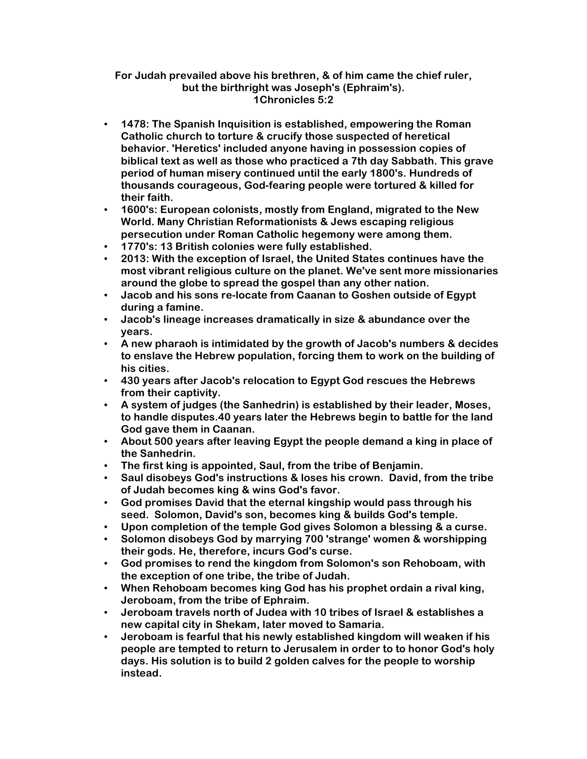## **For Judah prevailed above his brethren, & of him came the chief ruler, but the birthright was Joseph's (Ephraim's). 1Chronicles 5:2**

- **1478: The Spanish Inquisition is established, empowering the Roman Catholic church to torture & crucify those suspected of heretical behavior. 'Heretics' included anyone having in possession copies of biblical text as well as those who practiced a 7th day Sabbath. This grave period of human misery continued until the early 1800's. Hundreds of thousands courageous, God-fearing people were tortured & killed for their faith.**
- **1600's: European colonists, mostly from England, migrated to the New World. Many Christian Reformationists & Jews escaping religious persecution under Roman Catholic hegemony were among them.**
- **1770's: 13 British colonies were fully established.**
- **2013: With the exception of Israel, the United States continues have the most vibrant religious culture on the planet. We've sent more missionaries around the globe to spread the gospel than any other nation.**
- **Jacob and his sons re-locate from Caanan to Goshen outside of Egypt during a famine.**
- **Jacob's lineage increases dramatically in size & abundance over the years.**
- **A new pharaoh is intimidated by the growth of Jacob's numbers & decides to enslave the Hebrew population, forcing them to work on the building of his cities.**
- **430 years after Jacob's relocation to Egypt God rescues the Hebrews from their captivity.**
- **A system of judges (the Sanhedrin) is established by their leader, Moses, to handle disputes.40 years later the Hebrews begin to battle for the land God gave them in Caanan.**
- **About 500 years after leaving Egypt the people demand a king in place of the Sanhedrin.**
- **The first king is appointed, Saul, from the tribe of Benjamin.**
- **Saul disobeys God's instructions & loses his crown. David, from the tribe of Judah becomes king & wins God's favor.**
- **God promises David that the eternal kingship would pass through his seed. Solomon, David's son, becomes king & builds God's temple.**
- **Upon completion of the temple God gives Solomon a blessing & a curse.**
- **Solomon disobeys God by marrying 700 'strange' women & worshipping their gods. He, therefore, incurs God's curse.**
- **God promises to rend the kingdom from Solomon's son Rehoboam, with the exception of one tribe, the tribe of Judah.**
- **When Rehoboam becomes king God has his prophet ordain a rival king, Jeroboam, from the tribe of Ephraim.**
- **Jeroboam travels north of Judea with 10 tribes of Israel & establishes a new capital city in Shekam, later moved to Samaria.**
- **Jeroboam is fearful that his newly established kingdom will weaken if his people are tempted to return to Jerusalem in order to to honor God's holy days. His solution is to build 2 golden calves for the people to worship instead.**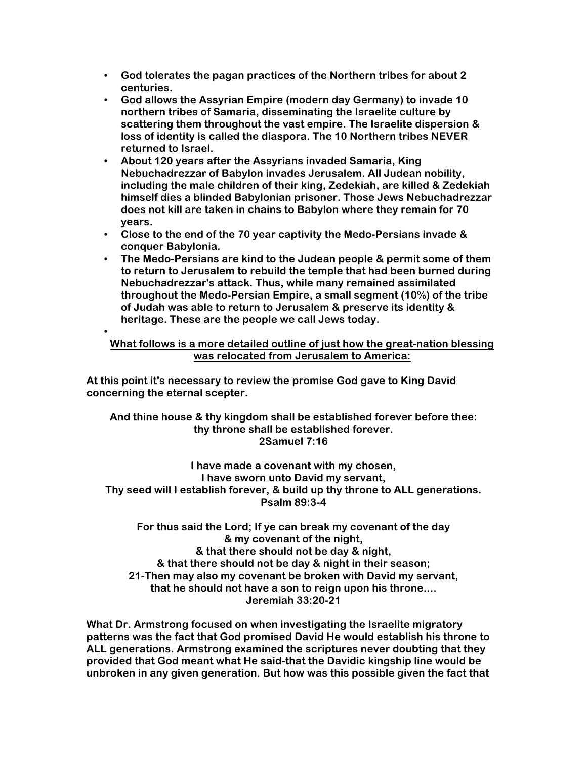- **God tolerates the pagan practices of the Northern tribes for about 2 centuries.**
- **God allows the Assyrian Empire (modern day Germany) to invade 10 northern tribes of Samaria, disseminating the Israelite culture by scattering them throughout the vast empire. The Israelite dispersion & loss of identity is called the diaspora. The 10 Northern tribes NEVER returned to Israel.**
- **About 120 years after the Assyrians invaded Samaria, King Nebuchadrezzar of Babylon invades Jerusalem. All Judean nobility, including the male children of their king, Zedekiah, are killed & Zedekiah himself dies a blinded Babylonian prisoner. Those Jews Nebuchadrezzar does not kill are taken in chains to Babylon where they remain for 70 years.**
- **Close to the end of the 70 year captivity the Medo-Persians invade & conquer Babylonia.**
- **The Medo-Persians are kind to the Judean people & permit some of them to return to Jerusalem to rebuild the temple that had been burned during Nebuchadrezzar's attack. Thus, while many remained assimilated throughout the Medo-Persian Empire, a small segment (10%) of the tribe of Judah was able to return to Jerusalem & preserve its identity & heritage. These are the people we call Jews today.**

## **What follows is a more detailed outline of just how the great-nation blessing was relocated from Jerusalem to America:**

**At this point it's necessary to review the promise God gave to King David concerning the eternal scepter.**

•

**And thine house & thy kingdom shall be established forever before thee: thy throne shall be established forever. 2Samuel 7:16** 

**I have made a covenant with my chosen, I have sworn unto David my servant, Thy seed will I establish forever, & build up thy throne to ALL generations. Psalm 89:3-4** 

**For thus said the Lord; If ye can break my covenant of the day & my covenant of the night, & that there should not be day & night, & that there should not be day & night in their season; 21-Then may also my covenant be broken with David my servant, that he should not have a son to reign upon his throne.... Jeremiah 33:20-21** 

**What Dr. Armstrong focused on when investigating the Israelite migratory patterns was the fact that God promised David He would establish his throne to ALL generations. Armstrong examined the scriptures never doubting that they provided that God meant what He said-that the Davidic kingship line would be unbroken in any given generation. But how was this possible given the fact that**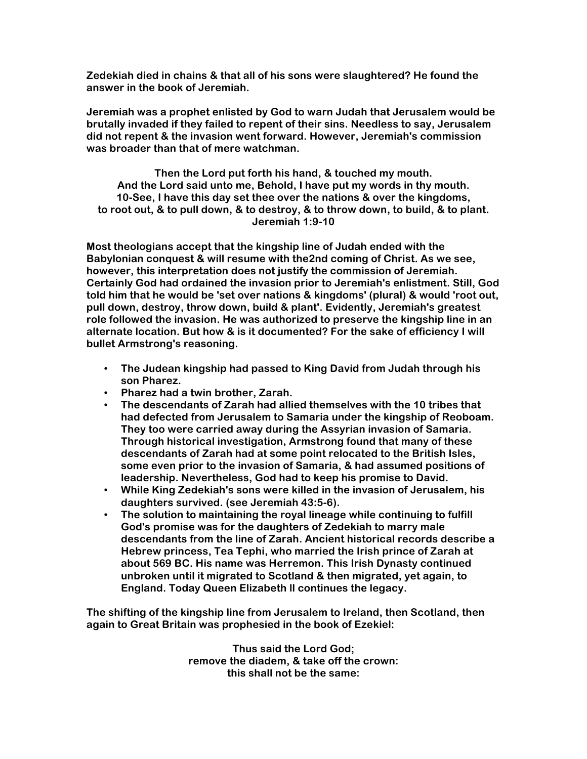**Zedekiah died in chains & that all of his sons were slaughtered? He found the answer in the book of Jeremiah.**

**Jeremiah was a prophet enlisted by God to warn Judah that Jerusalem would be brutally invaded if they failed to repent of their sins. Needless to say, Jerusalem did not repent & the invasion went forward. However, Jeremiah's commission was broader than that of mere watchman.** 

**Then the Lord put forth his hand, & touched my mouth. And the Lord said unto me, Behold, I have put my words in thy mouth. 10-See, I have this day set thee over the nations & over the kingdoms, to root out, & to pull down, & to destroy, & to throw down, to build, & to plant. Jeremiah 1:9-10** 

**Most theologians accept that the kingship line of Judah ended with the Babylonian conquest & will resume with the2nd coming of Christ. As we see, however, this interpretation does not justify the commission of Jeremiah. Certainly God had ordained the invasion prior to Jeremiah's enlistment. Still, God told him that he would be 'set over nations & kingdoms' (plural) & would 'root out, pull down, destroy, throw down, build & plant'. Evidently, Jeremiah's greatest role followed the invasion. He was authorized to preserve the kingship line in an alternate location. But how & is it documented? For the sake of efficiency I will bullet Armstrong's reasoning.**

- **The Judean kingship had passed to King David from Judah through his son Pharez.**
- **Pharez had a twin brother, Zarah.**
- **The descendants of Zarah had allied themselves with the 10 tribes that had defected from Jerusalem to Samaria under the kingship of Reoboam. They too were carried away during the Assyrian invasion of Samaria. Through historical investigation, Armstrong found that many of these descendants of Zarah had at some point relocated to the British Isles, some even prior to the invasion of Samaria, & had assumed positions of leadership. Nevertheless, God had to keep his promise to David.**
- **While King Zedekiah's sons were killed in the invasion of Jerusalem, his daughters survived. (see Jeremiah 43:5-6).**
- **The solution to maintaining the royal lineage while continuing to fulfill God's promise was for the daughters of Zedekiah to marry male descendants from the line of Zarah. Ancient historical records describe a Hebrew princess, Tea Tephi, who married the Irish prince of Zarah at about 569 BC. His name was Herremon. This Irish Dynasty continued unbroken until it migrated to Scotland & then migrated, yet again, to England. Today Queen Elizabeth ll continues the legacy.**

**The shifting of the kingship line from Jerusalem to Ireland, then Scotland, then again to Great Britain was prophesied in the book of Ezekiel:**

> **Thus said the Lord God; remove the diadem, & take off the crown: this shall not be the same:**